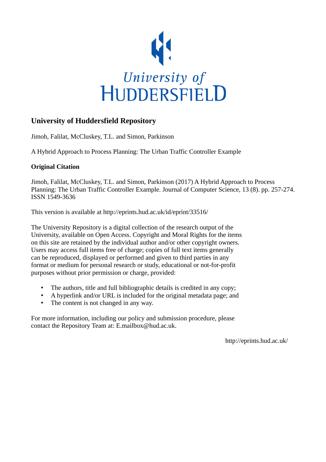

# **University of Huddersfield Repository**

Jimoh, Falilat, McCluskey, T.L. and Simon, Parkinson

A Hybrid Approach to Process Planning: The Urban Traffic Controller Example

# **Original Citation**

Jimoh, Falilat, McCluskey, T.L. and Simon, Parkinson (2017) A Hybrid Approach to Process Planning: The Urban Traffic Controller Example. Journal of Computer Science, 13 (8). pp. 257-274. ISSN 1549-3636

This version is available at http://eprints.hud.ac.uk/id/eprint/33516/

The University Repository is a digital collection of the research output of the University, available on Open Access. Copyright and Moral Rights for the items on this site are retained by the individual author and/or other copyright owners. Users may access full items free of charge; copies of full text items generally can be reproduced, displayed or performed and given to third parties in any format or medium for personal research or study, educational or not-for-profit purposes without prior permission or charge, provided:

- The authors, title and full bibliographic details is credited in any copy;
- A hyperlink and/or URL is included for the original metadata page; and
- The content is not changed in any way.

For more information, including our policy and submission procedure, please contact the Repository Team at: E.mailbox@hud.ac.uk.

http://eprints.hud.ac.uk/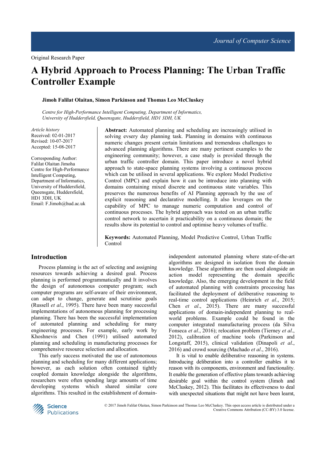# **A Hybrid Approach to Process Planning: The Urban Traffic Controller Example**

#### **Jimoh Falilat Olaitan, Simon Parkinson and Thomas Leo McCluskey**

*Centre for High-Performance Intelligent Computing, Department of Informatics, University of Huddersfield, Queensgate, Huddersfield, HD1 3DH, UK*

*Article history*  Received: 02-01-2017 Revised: 10-07-2017 Accepted: 15-08-2017

Corresponding Author: Falilat Olaitan Jimoha Centre for High-Performance Intelligent Computing, Department of Informatics, University of Huddersfield, Queensgate, Huddersfield, HD1 3DH, UK Email: F.Jimoh@hud.ac.uk

**Abstract:** Automated planning and scheduling are increasingly utilised in solving evsery day planning task. Planning in domains with continuous numeric changes present certain limitations and tremendous challenges to advanced planning algorithms. There are many pertinent examples to the engineering community; however, a case study is provided through the urban traffic controller domain. This paper introduce a novel hybrid approach to state-space planning systems involving a continuous process which can be utilised in several applications. We explore Model Predictive Control (MPC) and explain how it can be introduce into planning with domains containing mixed discrete and continuous state variables. This preserves the numerous benefits of AI Planning approach by the use of explicit reasoning and declarative modelling. It also leverages on the capability of MPC to manage numeric computation and control of continuous processes. The hybrid approach was tested on an urban traffic control network to ascertain it practicability on a continuous domain; the results show its potential to control and optimise heavy volumes of traffic.

**Keywords:** Automated Planning, Model Predictive Control, Urban Traffic Control

## **Introduction**

Process planning is the act of selecting and assigning resources towards achieving a desired goal. Process planning is performed programmatically and It involves the design of autonomous computer program; such computer programs are self-aware of their environment, can adapt to change, generate and scrutinise goals (Russell *et al*., 1995). There have been many successful implementations of autonomous planning for processing planning. There has been the successful implementation of automated planning and scheduling for many engineering processes. For example, early work by Khoshnevis and Chen (1991) utilised automated planning and scheduling in manufacturing processes for comprehensive resource selection and allocation.

This early success motivated the use of autonomous planning and scheduling for many different applications; however, as each solution often contained tightly coupled domain knowledge alongside the algorithms, researchers were often spending large amounts of time developing systems which shared similar core algorithms. This resulted in the establishment of domainindependent automated planning where state-of-the-art algorithms are designed in isolation from the domain knowledge. These algorithms are then used alongside an action model representing the domain specific knowledge. Also, the emerging development in the field of automated planning with constraints processing has facilitated the deployment of deliberative reasoning to real-time control applications (Heinrich *et al*., 2015; Chen *et al*., 2015). There are many successful applications of domain-independent planning to realworld problems. Example could be found in the computer integrated manufacturing process (da Silva Fonseca *et al*., 2016); relocation problem (Tierney *et al*., 2012), calibration of machine tools (Parkinson and Longstaff, 2015), clinical validation (Dinapoli *et al*., 2016) and crowd sourcing (Machado *et al*., 2016).

It is vital to enable deliberative reasoning in systems. Introducing deliberation into a controller enables it to reason with its components, environment and functionality. It enable the generation of effective plans towards achieving desirable goal within the control system (Jimoh and McCluskey, 2012). This facilitates its effectiveness to deal with unexpected situations that might not have been learnt,



© 2017 Jimoh Falilat Olaitan, Simon Parkinson and Thomas Leo McCluskey. This open access article is distributed under a Creative Commons Attribution (CC-BY) 3.0 license.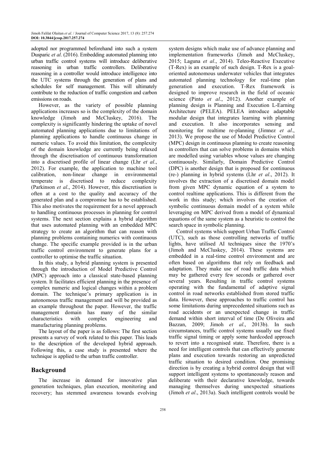adopted nor programmed beforehand into such a system Dusparic *et al*. (2016). Embedding automated planning into urban traffic control systems will introduce deliberative reasoning in urban traffic controllers. Deliberative reasoning in a controller would introduce intelligence into the UTC systems through the generation of plans and schedules for self management. This will ultimately contribute to the reduction of traffic congestion and carbon emissions on roads.

However, as the variety of possible planning applications increases so is the complexity of the domain knowledge (Jimoh and McCluskey, 2016). The complexity is significantly hindering the uptake of novel automated planning applications due to limitations of planning applications to handle continuous change in numeric values. To avoid this limitation, the complexity of the domain knowledge are currently being relaxed through the discretisation of continuous transformation into a discretised profile of linear change (Lhr *et al*., 2012). For example, the application to machine tool calibration, non-linear change in environmental temperate is discretised to reduce complexity (Parkinson *et al*., 2014). However, this discretisation is often at a cost to the quality and accuracy of the generated plan and a compromise has to be established. This also motivates the requirement for a novel approach to handling continuous processes in planning for control systems. The next section explains a hybrid algorithm that uses automated planning with an embedded MPC strategy to create an algorithm that can reason with planning problems containing numerics with continuous change. The specific example provided is in the urban traffic control environment to generate plans for a controller to optimise the traffic situation.

In this study, a hybrid planning system is presented through the introduction of Model Predictive Control (MPC) approach into a classical state-based planning system. It facilitates efficient planning in the presence of complex numeric and logical changes within a problem domain. The technique's primary application is in autonomous traffic management and will be provided as an example throughout the paper. However, the traffic management domain has many of the similar characteristics with complex engineering and manufacturing planning problems.

The layout of the paper is as follows: The first section presents a survey of work related to this paper. This leads to the description of the developed hybrid approach. Following this, a case study is presented where the technique is applied to the urban traffic controller.

# **Background**

The increase in demand for innovative plan generation techniques, plan execution, monitoring and recovery; has stemmed awareness towards evolving

system designs which make use of advance planning and implementation frameworks (Jimoh and McCluskey, 2015; Laguna *et al*., 2014). Teleo-Reactive Executive (T-Rex) is an example of such design. T-Rex is a goaloriented autonomous underwater vehicles that integrates automated planning technology for real-time plan generation and execution. T-Rex framework is designed to improve research in the field of oceanic science (Pinto *et al*., 2012). Another example of planning design is Planning and Execution L-Earning Architecture (PELEA). PELEA introduce adaptable modular design that integrates learning with planning and execution. It also incorporates sensing and monitoring for realtime re-planning (Jimnez *et al*., 2013). We propose the use of Model Predictive Control (MPC) design in continuous planning to create reasoning in controllers that can solve problems in domains which are modelled using variables whose values are changing continuously. Similarly, Domain Predictive Control (DPC) is another design that is proposed for continuous (re-) planning in hybrid systems (Lhr *et al*., 2012). It involves the extraction of a discretised domain model from given MPC dynamic equation of a system to control realtime applications. This is different from the work in this study; which involves the creation of symbolic continuous domain model of a system while leveraging on MPC derived from a model of dynamical equations of the same system as a heuristic to control the search space in symbolic planning.

Control systems which support Urban Traffic Control (UTC), such as those controlling networks of traffic lights, have utilised AI techniques since the 1970's (Jimoh and McCluskey, 2014). These systems are embedded in a real-time control environment and are often based on algorithms that rely on feedback and adaptation. They make use of road traffic data which may be gathered every few seconds or gathered over several years. Resulting in traffic control systems operating with the fundamental of adaptive signal control in road networks established from stored traffic data. However, these approaches to traffic control has some limitations during unprecedented situations such as road accidents or an unexpected change in traffic demand within short interval of time (De Oliveira and Bazzan, 2009; Jimoh *et al*., 2013b). In such circumstances, traffic control systems usually use fixed traffic signal timing or apply some hardcoded approach to revert into a recognised state. Therefore, there is a need for intelligent controls that can effectively generate plans and execution towards restoring an unpredicted traffic situation to desired condition. One promising direction is by creating a hybrid control design that will support intelligent systems to spontaneously reason and deliberate with their declarative knowledge, towards managing themselves during unexpected situations (Jimoh *et al*., 2013a). Such intelligent controls would be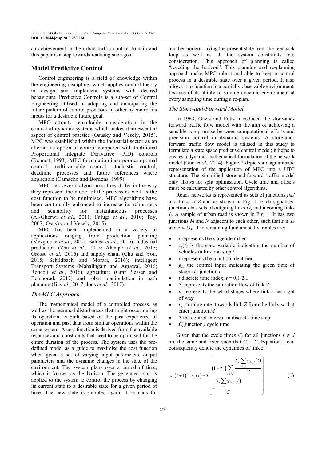an achievement in the urban traffic control domain and this paper is a step towards realising such goal.

# **Model Predictive Control**

Control engineering is a field of knowledge within the engineering discipline, which applies control theory to design and implement systems with desired behaviours. Predictive Controls is a sub-set of Control Engineering utilised in adopting and anticipating the future pattern of control processes in other to control its inputs for a desirable future goal.

MPC attracts remarkable consideration in the control of dynamic systems which makes it an essential aspect of control practice (Osusky and Vesely, 2015). MPC was established within the industrial sector as an alternative option of control compared with traditional Proportional Integrate Derivative (PID) controls (Bennett, 1993). MPC formulation incorporates optimal control, multi-variable control, stochastic control, deadtime processes and future references where applicable (Camacho and Bordons, 1999).

MPC has several algorithms; they differ in the way they represent the model of the process as well as the cost function to be minimised. MPC algorithms have been continually enhanced to increase its robustness and scalability for instantaneous processes (Al-Gherwi *et al*., 2011; Falugi *et al*., 2010; Tay, 2007; Osusky and Vesely, 2015).

MPC has been implemented in a variety of applications ranging from production planning (Mezghiche *et al*., 2015; Baldea *et al*., 2015); industrial production (Zhu *et al*., 2015; Alanqar *et al*., 2017; Grosso *et al*., 2016) and supply chain (Chu and You, 2015; Schildbach and Morari, 2016); intelligent Transport Systems (Mahalingam and Agrawal, 2016; Roncoli *et al*., 2016); agriculture (Graf Plessen and Bemporad, 2017) and robot manipulation in path planning (Ji *et al*., 2017; Joos *et al*., 2017).

# *The MPC Approach*

The mathematical model of a controlled process, as well as the assumed disturbances that might occur during its operation, is built based on the past experience of operation and past data from similar operations within the same system. A cost function is derived from the available resources and constraints that need to be optimised for the entire duration of the process. The system uses the predefined model as a guide to maximise the cost function when given a set of varying input parameters, output parameters and the dynamic changes in the state of the environment. The system plans over a period of time, which is known as the horizon. The generated plan is applied to the system to control the process by changing its current state to a desirable state for a given period of time. The new state is sampled again. It re-plans for

another horizon taking the present state from the feedback loop as well as all the system constraints into consideration. This approach of planning is called "receding the horizon". This planning and re-planning approach make MPC robust and able to keep a control process in a desirable state over a given period. It also allows it to function in a partially observable environment, because of its ability to sample dynamic environment at every sampling time during a re-plan.

# *The Store-and-Forward Model*

In 1963, Gazis and Potts introduced the store-andforward traffic flow model with the aim of achieving a sensible compromise between computational efforts and precision control in dynamic systems. A store-andforward traffic flow model is utilised in this study to formulate a state space predictive control model; it helps to creates a dynamic mathematical formulation of the network model (Guo *et al*., 2014). Figure 2 depicts a diagrammatic representation of the application of MPC into a UTC structure. The simplified store-and-forward traffic model only allows for split optimisation. Cycle time and offsets must be calculated by other control algorithms.

Roads networks is represented as sets of junctions *j*∈*J* and links *z*∈*Z* and as shown in Fig. 1. Each signalised junction *j* has sets of outgoing links  $O_J$  and incoming links *Ij* . A sample of urban road is shown in Fig. 1. It has two junctions *M* and *N* adjacent to each other, such that  $z \in I_N$ and  $z \in O_M$ . The remaining fundamental variables are:

- *i* represents the stage identifier
- $x<sub>z</sub>(t)$  is the state variable indicating the number of vehicles in link *z* at step *t*
- *j* represents the junction identifier
- $\bullet$   $g_{j,i}$  the control input indicating the green time of stage *i* at junction *j*
- *t* discrete time index,  $t = 0, 1, 2...$
- *S<sup>z</sup>* represents the saturation flow of link *Z*
- $v_z$  represents the set of stages where link  $z$  has right of way
- $t_{w,z}$  turning rate; towards link *Z* from the links w that enter junction *M*
- *T* the control interval in discrete time step
- $C_j$  junction *j* cycle time

Given that the cycle times  $C_j$  for all junctions  $j \in J$ are the same and fixed such that  $C_j = C$ . Equation 1 can consequently denote the dynamics of link *z*:

$$
x_z(t+1) = x_z(t) + T \begin{bmatrix} S_w \sum_{i \in v_w} g_{N,j}(t) \\ (1 - \tau_z) \sum_{w \in I_M} C \\ S_z \sum_{i \in v_z} g_{N,j}(t) \\ -\frac{S_z \sum_{i \in v_z} g_{N,j}(t)}{C} \end{bmatrix}
$$
 (1)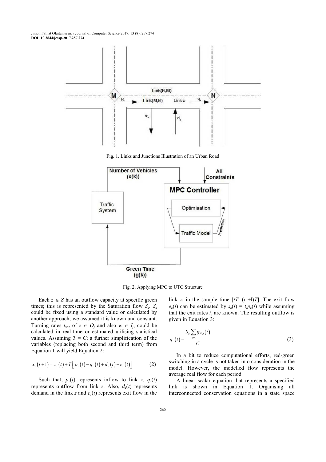

Fig. 1. Links and Junctions Illustration of an Urban Road



Fig. 2. Applying MPC to UTC Structure

Each  $z \in Z$  has an outflow capacity at specific green times; this is represented by the Saturation flow  $S_z$ .  $S_z$ could be fixed using a standard value or calculated by another approach; we assumed it is known and constant. Turning rates  $t_{w,z}$  of  $z \in O_j$  and also  $w \in I_j$ , could be calculated in real-time or estimated utilising statistical values. Assuming  $T = C$ ; a further simplification of the variables (replacing both second and third term) from Equation 1 will yield Equation 2:

$$
x_z(t+1) = x_z(t) + T \Big[ p_z(t) - q_z(t) + d_z(t) - e_z(t) \Big] \tag{2}
$$

Such that,  $p_z(t)$  represents inflow to link *z*,  $q_z(t)$ represents outflow from link *z*. Also,  $d_z(t)$  represents demand in the link *z* and  $e_z(t)$  represents exit flow in the link *z*; in the sample time  $[tT, (t+1)T]$ . The exit flow  $e_z(t)$  can be estimated by  $s_z(t) = t_z p_z(t)$  while assuming that the exit rates  $t_z$  are known. The resulting outflow is given in Equation 3:

$$
q_z(t) = \frac{S_z \sum_{i \in v_z} g_{N,i}(t)}{C}
$$
 (3)

In a bit to reduce computational efforts, red-green switching in a cycle is not taken into consideration in the model. However, the modelled flow represents the average real flow for each period.

A linear scalar equation that represents a specified link is shown in Equation 1. Organising all interconnected conservation equations in a state space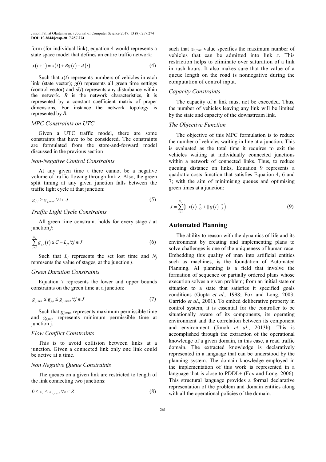form (for individual link), equation 4 would represents a state space model that defines an entire traffic network:

$$
x(t+1) = x(t) + Bg(t) + d(t)
$$
 (4)

Such that  $x(t)$  represents numbers of vehicles in each link (state vector); *g*(*t*) represents all green time settings (control vector) and *d*(*t*) represents any disturbance within the network. *B* is the network characteristics, it is represented by a constant coefficient matrix of proper dimensions. For instance the network topology is represented by *B*.

#### *MPC Constraints on UTC*

Given a UTC traffic model, there are some constraints that have to be considered. The constraints are formulated from the store-and-forward model discussed in the previous section

#### *Non-Negative Control Constraints*

At any given time t there cannot be a negative volume of traffic flowing through link z. Also, the green split timing at any given junction falls between the traffic light cycle at that junction:

$$
g_{j,i} \ge g_{j,\min}, \forall i \in J \tag{5}
$$

#### *Traffic Light Cycle Constraints*

All green time constraint holds for every stage *i* at junction *j*:

$$
\sum_{i=1}^{N_j} g_{j,i}(t) \le C - L_j, \forall j \in J
$$
\n
$$
(6)
$$

Such that  $L_j$  represents the set lost time and  $N_j$ represents the value of stages, at the junction *j*.

#### *Green Duration Constraints*

Equation 7 represents the lower and upper bounds constraints on the green time at a junction:

$$
g_{j,\min} \le g_{j,i} \le g_{j,\max}, \forall j \in J \tag{7}
$$

Such that  $g_{j, \text{max}}$  represents maximum permissible time and *g*<sub>*i*,min</sub> represents minimum permissible time at junction j.

#### *Flow Conflict Constraints*

This is to avoid collision between links at a junction. Given a connected link only one link could be active at a time.

#### *Non Negative Queue Constraints*

The queues on a given link are restricted to length of the link connecting two junctions:

$$
0 \le x_z \le x_{z, \max}, \forall z \in Z \tag{8}
$$

such that  $x_{z\text{ max}}$  value specifies the maximum number of vehicles that can be admitted into link *z*. This restriction helps to eliminate over saturation of a link in rush hours. It also makes sure that the value of a queue length on the road is nonnegative during the computation of control input.

#### *Capacity Constraints*

The capacity of a link must not be exceeded. Thus, the number of vehicles leaving any link will be limited by the state and capacity of the downstream link.

# *The Objective Function*

The objective of this MPC formulation is to reduce the number of vehicles waiting in line at a junction. This is evaluated as the total time it requires to exit the vehicles waiting at individually connected junctions within a network of connected links. Thus, to reduce queuing distance on links, Equation 9 represents a quadratic costs function that satisfies Equation 4, 6 and 7; with the aim of minimising queues and optimising green times at a junction:

$$
J = \sum_{t=1}^{N_p} \left( ||x(t)||_Q^2 + ||g(t)||_R^2 \right) \tag{9}
$$

# **Automated Planning**

The ability to reason with the dynamics of life and its environment by creating and implementing plans to solve challenges is one of the uniqueness of human race. Embedding this quality of man into artificial entities such as machines, is the foundation of Automated Planning. AI planning is a field that involve the formation of sequence or partially ordered plans whose execution solves a given problem; from an initial state or situation to a state that satisfies it specified goals conditions (Gupta *et al*., 1998; Fox and Long, 2003; Garrido *et al*., 2001). To embed deliberative property in control system, it is essential for the controller to be situationally aware of its components, its operating environment and the correlation between its component and environment (Jimoh *et al*., 2013b). This is accomplished through the extraction of the operational knowledge of a given domain, in this case, a road traffic domain. The extracted knowledge is declaratively represented in a language that can be understood by the planning system. The domain knowledge employed in the implementation of this work is represented in a language that is close to PDDL+ (Fox and Long, 2006). This structural language provides a formal declarative representation of the problem and domain entities along with all the operational policies of the domain.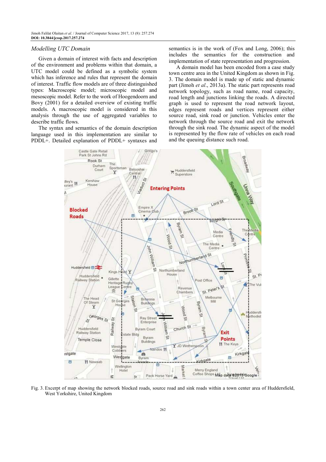#### *Modelling UTC Domain*

Given a domain of interest with facts and description of the environment and problems within that domain, a UTC model could be defined as a symbolic system which has inference and rules that represent the domain of interest. Traffic flow models are of three distinguished types: Macroscopic model; microscopic model and mesoscopic model. Refer to the work of Hoogendoorn and Bovy (2001) for a detailed overview of existing traffic models. A macroscopic model is considered in this analysis through the use of aggregated variables to describe traffic flows.

The syntax and semantics of the domain description language used in this implementation are similar to PDDL+. Detailed explanation of PDDL+ syntaxes and

semantics is in the work of (Fox and Long, 2006); this includes the semantics for the construction and implementation of state representation and progression.

A domain model has been encoded from a case study town centre area in the United Kingdom as shown in Fig. 3. The domain model is made up of static and dynamic part (Jimoh *et al*., 2013a). The static part represents road network topology, such as road name, road capacity, road length and junctions linking the roads. A directed graph is used to represent the road network layout, edges represent roads and vertices represent either source road, sink road or junction. Vehicles enter the network through the source road and exit the network through the sink road. The dynamic aspect of the model is represented by the flow rate of vehicles on each road and the queuing distance such road.



Fig. 3. Excerpt of map showing the network blocked roads, source road and sink roads within a town center area of Huddersfield, West Yorkshire, United Kingdom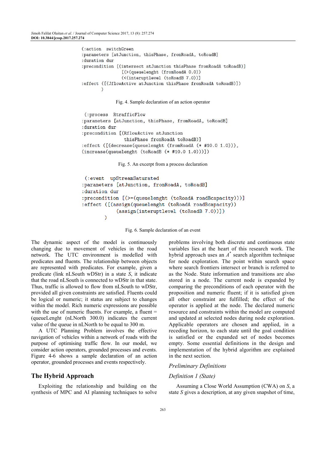```
(:action switchGreen
:parameters [atJunction, thisPhase, fromRoadA, toRoadB]
:duration dur
:precondition [(intersect atJunction thisPhase fromRoadA toRoadB)]
                [(>(queuelenght (fromRoadA 0.0))
                (<(interuptlevel (toRoadB 7.0))]
:effect ([(JflowActive atJunction thisPhase fromRoadA toRoadB)])
        \mathcal{L}
```
Fig. 4. Sample declaration of an action operator

```
(:process RtrafficFlow
:parameters [atJunction, thisPhase, fromRoadA, toRoadB]
:duration dur
: precondition [(RflowActive atJunction
                thisPhase fromRoadA toRoadB)]
:effect ([(decrease(queuelenght (fromRoadA (* #10.0 1.0))),
(increase(queuelength (to RoadB (* #10.0 1.0)))))
```
Fig. 5. An excerpt from a process declaration

```
(:event upStreamSaturated
:parameters [atJunction, fromRoadA, toRoadB]
:duration dur
:precondition [(>=(queuelenght (toRoadA roadBcapacity)))]
:effect ([(assign(queuelenght (toRoadA roadBcapacity))
            (assign(interuptlevel (toRoadB 7.0))])
        \lambda
```
Fig. 6. Sample declaration of an event

The dynamic aspect of the model is continuously changing due to movement of vehicles in the road network. The UTC environment is modelled with predicates and fluents. The relationship between objects are represented with predicates. For example, given a predicate (link nLSouth wDStr) in a state *S*, it indicate that the road nLSouth is connected to wDStr in that state. Thus, traffic is allowed to flow from nLSouth to wDStr, provided all given constraints are satisfied. Fluents could be logical or numeric; it status are subject to changes within the model. Rich numeric expressions are possible with the use of numeric fluents. For example, a fluent  $=$ (queueLenght (nLNorth 300.0) indicates the current value of the queue in nLNorth to be equal to 300 m.

A UTC Planning Problem involves the effective navigation of vehicles within a network of roads with the purpose of optimising traffic flow. In our model, we consider action operators, grounded processes and events. Figure 4-6 shows a sample declaration of an action operator, grounded processes and events respectively.

#### **The Hybrid Approach**

Exploiting the relationship and building on the synthesis of MPC and AI planning techniques to solve problems involving both discrete and continuous state variables lies at the heart of this research work. The hybrid approach uses an  $A^*$  search algorithm technique for node exploration. The point within search space where search frontiers intersect or branch is referred to as the Node. State information and transitions are also stored in a node. The current node is expanded by comparing the preconditions of each operator with the proposition and numeric fluent; if it is satisfied given all other constraint are fulfilled; the effect of the operator is applied at the node. The declared numeric resource and constraints within the model are computed and updated at selected nodes during node exploration. Applicable operators are chosen and applied, in a receding horizon, to each state until the goal condition is satisfied or the expanded set of nodes becomes empty. Some essential definitions in the design and implementation of the hybrid algorithm are explained in the next section.

#### *Preliminary Definitions*

# *Definition 1 (State)*

Assuming a Close World Assumption (CWA) on *S*, a state *S* gives a description, at any given snapshot of time,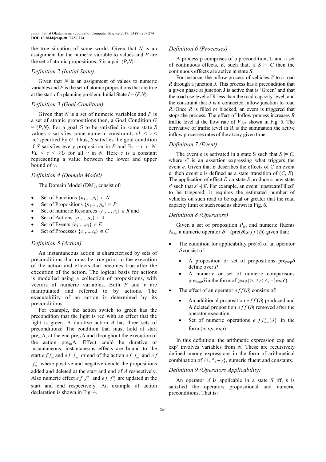the true situation of some world. Given that *N* is an assignment for the numeric variable to values and *P* are the set of atomic propositions. *S* is a pair  $\langle P, N \rangle$ .

# *Definition 2 (Initial State)*

Given that *N* is an assignment of values to numeric variables and *P* is the set of atomic propositions that are true at the start of a planning problem. Initial State  $I = \langle P, N \rangle$ .

# *Definition 3 (Goal Condition)*

Given that *N* is a set of numeric variables and *P* is a set of atomic propositions then, a Goal Condition *G*  $= \langle P, N \rangle$ . For a goal *G* to be satisfied in some state *S* values *v* satisfies some numeric constraints  $vL < v <$ *vU* specified by *G*. Thus, *S* satisfies the goal condition if *S* satisfies every proposition in *P* and ∃*v* = *c* ∈ *N*:  $VL < c < VU$  for all *v* in *N*. Here *c* is a constant representing a value between the lower and upper bound of *v*.

#### *Definition 4 (Domain Model)*

The Domain Model (DM), consist of:

- Set of Functions  $\{n_1, \ldots, n_k\} \in N$
- Set of Propositions  $\{p_1, ..., p_k\} \in P$
- Set of numeric Resources  $\{r_1, \ldots, r_k\} \in R$  and
- Set of Actions  $\{a_1, \ldots, a_k\} \in A$
- Set of Events  $\{e_1, \ldots, e_k\} \in E$
- Set of Processes  $\{c_1, ..., c_k\} \in C$

## *Definition 5 (Action)*

An instantaneous action is characterised by sets of preconditions that must be true prior to the execution of the action and effects that becomes true after the execution of the action. The logical basis for actions is modelled using a collection of propositions, with vectors of numeric variables. Both *P* and *v* are manipulated and referred to by actions. The executability of an action is determined by its preconditions.

For example, the action switch to green has the precondition that the light is red with an effect that the light is green. A durative action *A* has three sets of preconditions: The condition that must hold at start  $pre<sub>∈</sub>A$ , at the end  $pre<sub>⇒</sub>A$  and throughout the execution of the action pre⇔A. Effect could be durative or instantaneous, instantaneous effects are bound to the start *e*  $f f_{\infty}^+$  and *e*  $f f_{\infty}^-$  or end of the action *e*  $f f_{\infty}^+$  and *e*  $f$ *f* − <sup>⇒</sup> where positive and negative denote the propositions added and deleted at the start and end of *A* respectively. Also numeric effect  $ef f^n_{\epsilon}$  and  $ef f^n_{\epsilon}$  are updated at the start and end respectively. An example of action declaration is shown in Fig. 4.

#### *Definition 6 (Processes)*

A process p comprises of a precondition, *C* and a set of continuous effects, *E*, such that, if  $S \models C$  then the continuous effects are active at state *S*.

For instance, the inflow process of vehicles *V* to a road *R* through a junction *J*. This process has a precondition that a given phase at junction J is active that is 'Green' and that the road use level of R less than the road-capacity-level; and the constraint that *J* is a connected inflow junction to road *R*. Once *R* is filled or blocked, an event is triggered that stops the process. The effect of Inflow process increases *R* traffic level at the flow rate of *V* as shown in Fig. 5. The derivative of traffic level in R is the summation the active inflow processes rates of the at any given time.

#### *Definition 7 (Event)*

The event e is activated in a state *S* such that  $S \models C$ , where *C* is an assertion expressing what triggers the event *e*. Given that *E* describes the effects of C on event e; then event e is defined as a state transition of (*C*, *E*). The application of effect *E* on state *S* produce a new state *s*′ such that *s*′ -| *E*. For example, an event 'upstreamFilled' to be triggered, it requires the estimated number of vehicles on such road to be equal or greater that the road capacity limit of such road as shown in Fig. 6.

#### *Definition 8 (Operators)*

Given a set of proposition  $P_{(s)}$  and numeric fluents *N*<sub>(s)</sub>, a numeric operator  $\delta = \langle \text{pre}(\delta); \text{eff}(\delta) \rangle$  given that:

- The condition for applicability pre $(\delta)$  of an operator  $\delta$  consist of:
	- A proposition or set of propositions  $pre_{prop}\delta$ define over *P*
	- A numeric or set of numeric comparisons pre<sub>num</sub> $\delta$  in the form of (exp{>,  $\geq, \leq, \leq, \equiv$ }exp').
- The effect of an operator  $eff(\delta)$  consists of:
	- An additional proposition  $eff^{\dagger}(\delta)$  produced and A deleted proposition *e f f* (δ) removed after the operator execution.
	- Set of numeric operations  $e f f_{num}^{\dagger}(\delta)$  in the form (*n*, *op*, exp)

In this definition, the arithmetic expression exp and exp′ involves variables from *N*. These are recursively defined among expressions in the form of arithmetical combination of  $\{+, *, -, / \}$ , numeric fluent and constants.

# *Definition 9 (Operators Applicability)*

An operator  $\delta$  is applicable in a state *S* iff, s is satisfied the operators propositional and numeric preconditions. That is: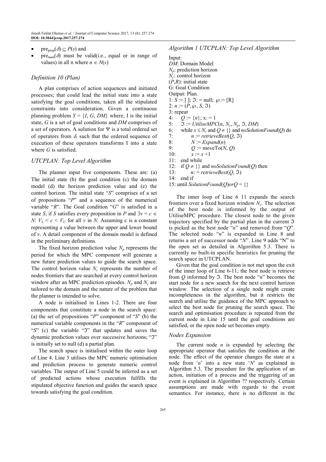- $pre<sub>prop</sub>(\delta) \subseteq P(s)$  and
- $pre_{num}(\delta)$  must be valid(i.e., equal or in range of values) in all n where  $n \in N(s)$

#### *Definition 10 (Plan)*

A plan comprises of action sequences and initiated processes; that could lead the initial state into a state satisfying the goal conditions, taken all the stipulated constraints into consideration. Given a continuous planning problem  $Y = \{I, G, DM\}$  where, I is the initial state, *G* is a set of goal conditions and *DM* comprises of a set of operators. A solution for Ψ is a total ordered set of operators from  $\delta$ , such that the ordered sequence of execution of these operators transforms I into a state where *G* is satisfied.

# *UTCPLAN: Top Level Algorithm*

The planner input five components. These are: (a) The initial state (b) the goal condition (c) the domain model (d) the horizon prediction value and (e) the control horizon. The initial state "*S*" comprises of a set of propositions "*P*" and a sequence of the numerical variable "*R*". The Goal condition "*G*" is satisfied in a state *S*, if *S* satisfies every proposition in *P* and  $\exists v = c \in$ *N*:  $V_L < c < V_U$  for all *v* in *N*. Assuming *c* is a constant representing a value between the upper and lower bound of *v*. A detail component of the domain model is defined in the preliminary definitions.

The fixed horizon prediction value  $N_p$  represents the period for which the MPC component will generate a new future prediction values to guide the search space. The control horizon value  $N_c$  represents the number of nodes frontiers that are searched at every control horizon window after an MPC prediction episodes.  $N_p$  and  $N_c$  are tailored to the domain and the nature of the problem that the planner is intended to solve.

A node is initialised in Lines 1-2. There are four components that constitute a node in the search space: (a) the set of propositions "*P*" component of "*S*" (b) the numerical variable components in the "*R*" component of "S" (c) the variable "J" that updates and saves the dynamic prediction values over successive horizons; "J" is initially set to null (d) a partial plan.

The search space is initialised within the outer loop of Line 4. Line 5 utilises the MPC numeric optimisation and prediction process to generate numeric control variables. The output of Line 5 could be inferred as a set of predicted actions whose execution fulfills the stipulated objective function and guides the search space towards satisfying the goal condition.

*Algorithm 1 UTCPLAN: Top Level Algorithm* 

Input: *DM*: Domain Model *Np*: prediction horizon *Nc* : control horizon (*P*,*R*): initial state G: Goal Condition Output: Plan. 1:  $S := [$   $]$ ;  $\Im$ : = null;  $\wp := [R]$ 2: *n* :=  $(P, \wp, S, \mathfrak{I})$ 3: repeat 4:  $Q := \{n\}$ ; x: = 1<br>5:  $\Im := U$ tiliseMP 5:  $\Im := \text{UtiliseMPC}(n, N_c, N_p, \Im, DM)$ 6: while  $x \leq N_c$  and  $Q \neq \{\}$  and *noSolutionFound*(*Q*) do 7:  $n := \text{retrieveBest}(Q, \Im)$ 8:  $N := Expand(n)$ 9:  $Q := \text{moveTo}(N, Q)$ 10:  $x := x + 1$ 

- 11: end while
- 12: if  $Q \neq \{\}$  and *noSolutionFound*(*Q*) then
- 13:  $n: = \text{retrieveBest}(O, \Im)$
- 14: end if
- 15: until *SolutionFound*(*Q*)*orQ* = {}

The inner loop of Line 6 11 expands the search frontiers over a fixed horizon window *N<sup>c</sup>* . The selection of the best node is informed by the output of UtiliseMPC procedure. The closest node to the given trajectory specified by the partial plan in the current  $\Im$ is picked as the best node "*n*" and removed from "*Q*". The selected node "*n*" is expanded in Line 8 and returns a set of successor node "*N*". Line 9 adds "N" to the open set as detailed in Algorithm 5.3. There is currently no built-in specific heuristics for pruning the search space in UTCPLAN.

Given that the goal condition is not met upon the exit of the inner loop of Line 6-11; the best node is retrieve from *Q* informed by ℑ. The best node "*n*" becomes the start node for a new search for the next control horizon window. The selection of a single node might create incompleteness in the algorithm, but it restricts the search and utilise the guidance of the MPC approach to select the best node for pruning the search space. The search and optimisation procedure is repeated from the current node in Line 15 until the goal conditions are satisfied, or the open node set becomes empty.

#### *Nodes Expansion*

The current node *n* is expanded by selecting the appropriate operator that satisfies the condition at the node. The effect of the operator changes the state at a node from '*n*' into a new state '*N*' as explained in Algorithm 5.3. The procedure for the application of an action, initiation of a process and the triggering of an event is explained in Algorithm ?? respectively. Certain assumptions are made with regards to the event semantics. For instance, there is no different in the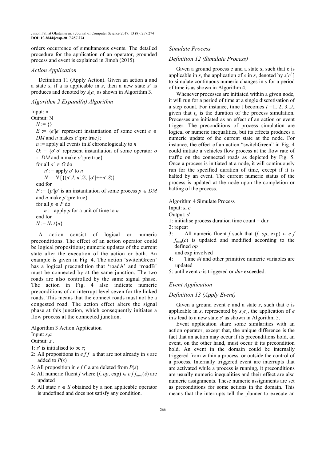orders occurrence of simultaneous events. The detailed procedure for the application of an operator, grounded process and event is explained in Jimoh (2015).

#### *Action Application*

Definition 11 (Apply Action). Given an action a and a state *s*, if a is applicable in *s*, then a new state *s*′ is produces and denoted by *s*[*a*] as shown in Algorithm 3.

# *Algorithm 2 Expand(n) Algorithm*

Input: n

Output: N

 $N := \{\}$ 

 $E := \{e' | e' \text{ represent instantiation of some event } e \in$ *DM* and *n* makes *e*':pre true};

 $n :=$  apply all events in *E* chronologically to *n* 

 $Q = \{o\}'$  represent instantiation of some operator *o* ∈ *DM* and n make *o*′:pre true}

for all  $o' \in O$  do

 $n'$ : = apply  $o'$  to *n*  $N := N \left[ \{ (n'.I, n'.\Im, [\omega'] + +n'.S) \} \right]$ 

end for

 $P := \{p'|p' \text{ is an instantiation of some process } p \in DM\}$ and *n* make *p*′:pre true}

for all  $p \in P$  do

 $n :=$  apply  $p$  for a unit of time to  $n$ 

end for

 $N := N \cup \{n\}$ 

A action consist of logical or numeric preconditions. The effect of an action operator could be logical propositions; numeric updates of the current state after the execution of the action or both. An example is given in Fig. 4. The action 'switchGreen' has a logical precondition that 'roadA' and 'roadB' must be connected by at the same junction. The two roads are also controlled by the same signal phase. The action in Fig. 4 also indicate numeric preconditions of an interrupt level seven for the linked roads. This means that the connect roads must not be a congested road. The action effect alters the signal phase at this junction, which consequently initiates a flow process at the connected junction.

Algorithm 3 Action Application Input: *s*,*a*

Output: *s*′.

- 1: *s*′ is initialised to be *s*;
- 2: All propositions in  $eff<sup>+</sup>$  a that are not already in s are added to *P*(*s*)
- 3: All proposition in *e f f*<sup>−</sup>a are deleted from *P*(*s*)
- 4: All numeric fluent *f* where  $(f, op, exp) \in e f f_{num}(\delta)$  are updated
- 5: All state  $s \in S$  obtained by a non applicable operator is undefined and does not satisfy any condition.

#### *Simulate Process*

# *Definition 12 (Simulate Process)*

Given a ground process c and a state s, such that c is applicable in *s*, the application of *c* in *s*, denoted by  $s[c^+]$ to simulate continuous numeric changes in *s* for a period of time is as shown in Algorithm 4.

Whenever processes are initiated within a given node, it will run for a period of time at a single discretisation of a step count. For instance, time t becomes  $t = 1, 2, 3...t_n$ given that  $t_n$  is the duration of the process simulation. Processes are initiated as an effect of an action or event trigger. The preconditions of process simulation are logical or numeric inequalities, but its effects produces a numeric update of the current state at the node. For instance, the effect of an action "switchGreen" in Fig. 4 could initiate a vehicles flow process at the flow rate of traffic on the connected roads as depicted by Fig. 5. Once a process is initiated at a node, it will continuously run for the specified duration of time, except if it is halted by an event. The current numeric status of the process is updated at the node upon the completion or halting of the process.

Algorithm 4 Simulate Process

Input: *s*, *c*

Output: *s*′.

- 1: initialise process duration time count = dur
- 2: repeat
- 3: All numeric fluent *f* such that  $(f, op, exp) \in e f$  $f_{num}(c)$  is updated and modified according to the defined *op*

and exp involved

- 4: Time #*t* and other primitive numeric variables are updated
- 5: until event *e* is triggered or *dur* exceeded.

# *Event Application*

# *Definition 13 (Apply Event)*

Given a ground event *e* and a state *s*, such that e is applicable in *s*, represented by *s*[*e*], the application of *e*  in *s* lead to a new state *s*′ as shown in Algorithm 5.

Event application share some similarities with an action operator, except that, the unique difference is the fact that an action may occur if its preconditions hold, an event, on the other hand, must occur if its precondition hold. An event in the domain could be internally triggered from within a process, or outside the control of a process. Internally triggered event are interrupts that are activated while a process is running, it preconditions are usually numeric inequalities and their effect are also numeric assignments. These numeric assignments are set as preconditions for some actions in the domain. This means that the interrupts tell the planner to execute an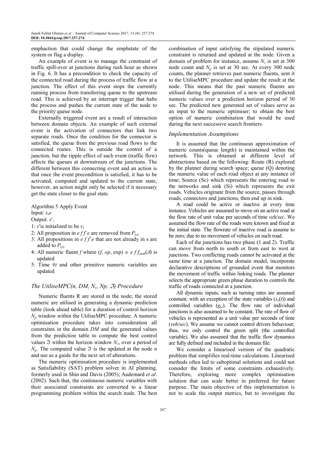emphaction that could change the emphstate of the system or flag a display.

An example of event is to manage the constraint of traffic spill-over at junctions during rush hour as shown in Fig. 6. It has a precondition to check the capacity of the connected road during the process of traffic flow at a junction. The effect of this event stops the currently running process from transferring queue to the upstream road. This is achieved by an interrupt trigger that halts the process and pushes the current state of the node to the priority queue node.

Externally triggered event are a result of interaction between domain objects. An example of such external event is the activation of connectors that link two separate roads. Once the condition for the connector is satisfied, the queue from the previous road flows to the connected routes. This is outside the control of a junction, but the ripple effect of such event (traffic flow) affects the queues at downstream of the junctions. The different between this connecting event and an action is that once the event precondition is satisfied, it has to be activated, computed and updated to the current state, however, an action might only be selected if it necessary get the state closer to the goal state.

Algorithm 5 Apply Event

# Input: *s*,*e*

Output: *s*′.

- 1: *s*′is initialised to be *s*;
- 2: All proposition in  $eff$  *e* are removed from  $P_{(s)}$
- 3: All propositions in  $eff<sup>2</sup>e$  that are not already in s are added to  $P_{(s)}$
- 4: All numeric fluent *f* where  $(f, op, exp) \in e f f_{num}(\delta)$  is updated
- 5: Time #*t* and other primitive numeric variables are updated

# *The UtiliseMPC(n, DM, N<sub>c</sub>, Np,*  $\mathfrak{I}$ *) Procedure*

Numeric fluents R are stored in the node; the stored numeric are utilised in generating a dynamic prediction table (look ahead table) for a duration of control horizon  $N_p$  window within the UtiliseMPC procedure. A numeric optimisation procedure takes into consideration all constraints in the domain *DM* and the generated values from the prediction table to compute the best control values  $\Im$  within the horizon window  $N_c$ , over a period of  $N_p$ . The computed value  $\Im$  is the updated at the node *n* and use as a guide for the next set of alterations.

The numeric optimisation procedure is implemented as Satisfiability (SAT) problem solver in AI planning, formerly used in Shin and Davis (2005); Audemard *et al*. (2002). Such that, the continuous numeric variables with their associated constraints are converted to a linear programming problem within the search node. The best combination of input satisfying the stipulated numeric constraint is returned and updated at the node. Given a domain of problem for instance, assume *N<sup>c</sup>* is set at 300 node count and *Np* is set at 30 sec. At every 300 node counts, the planner retrieves past numeric fluents, sent it to the UtiliseMPC procedure and update the result at the node. This means that the past numeric fluents are utilised during the generation of a new set of predicted numeric values over a prediction horizon period of 30 sec. The predicted new generated set of values serve as an input to the numeric optimiser; to obtain the best option of numeric combination that would be used during the next successive search frontiers.

#### *Implementation Assumptions*

It is assumed that the continuous approximation of numeric counts(queue length) is maintained within the network. This is obtained at different level of abstractions based on the following: Route (R) explored by the planner during search space; queue (Q) denoting the numeric value of each road object at any instance of time; Source (Sc) which represents the entering road to the networks and sink (Si) which represents the exit roads. Vehicles originate from the source, passes through roads, connectors and junctions, then end up in sink.

A road could be active or inactive at every time instance. Vehicles are assumed to move on an active road at the flow rate of unit value per seconds of time *veh*/*sec*. We assumed the flow rate of the roads were known and fixed at the initial state. The flowrate of inactive road is assume to be zero; due to no movement of vehicles on such road.

Each of the junctions has two phase (1 and 2). Traffic can move from north to south or from east to west at junctions. Two conflicting roads cannot be activated at the same time at a junction. The domain model, incorporate declarative descriptions of grounded event that monitors the movement of traffic within linking roads. The planner selects the appropriate green phase duration to controls the traffic of roads connected at a junction.

All dynamic inputs, such as turning rates are assumed constant; with an exception of the state variables  $(x<sub>z</sub>(t))$  and controlled variables  $(g_{ji})$ . The flow rate of individual junctions is also assumed to be constant. The rate of flow of vehicles is represented as a unit value per seconds of time (*veh*/*sec*). We assume we cannot control drivers behaviour; thus, we only control the green split (the controlled variable). We also assumed that the traffic flow dynamics are fully defined and included in the domain file.

We consider a linearised version of the quadratic problem that simplifies real-time calculations. Linearised methods often led to suboptimal solutions and could not consider the limits of some constraints exhaustively. Therefore, exploring more complex optimisation solution that can scale better in preferred for future purpose. The main objective of this implementation is not to scale the output metrics, but to investigate the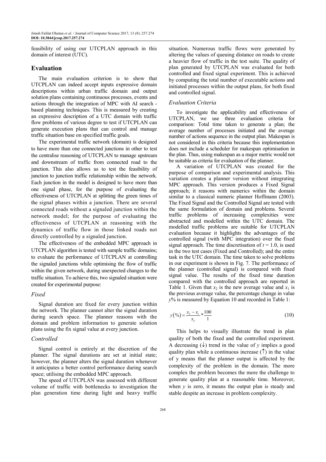feasibility of using our UTCPLAN approach in this domain of interest (UTC).

# **Evaluation**

The main evaluation criterion is to show that UTCPLAN can indeed accept inputs expressive domain descriptions within urban traffic domain and output solution plans containing continuous processes, events and actions through the integration of MPC with AI search based planning techniques. This is measured by creating an expressive description of a UTC domain with traffic flow problems of various degree to test if UTCPLAN can generate execution plans that can control and manage traffic situation base on specified traffic goals.

The experimental traffic network (domain) is designed to have more than one connected junctions in other to test the centralise reasoning of UTCPLAN to manage upstream and downstream of traffic from connected road to the junction. This also allows us to test the feasibility of junction to junction traffic relationship within the network. Each junction in the model is designed to have more than one signal phase, for the purpose of evaluating the effectiveness of UTCPLAN at splitting the green times of the signal phases within a junction. There are several connected roads without a signaled junction within the network model; for the purpose of evaluating the effectiveness of UTCPLAN at reasoning with the dynamics of traffic flow in those linked roads not directly controlled by a signaled junction.

The effectiveness of the embedded MPC approach in UTCPLAN algorithm is tested with sample traffic domains; to evaluate the performance of UTCPLAN at controlling the signaled junctions while optimising the flow of traffic within the given network, during unexpected changes to the traffic situation. To achieve this, two signaled situation were created for experimental purpose:

#### *Fixed*

Signal duration are fixed for every junction within the network. The planner cannot alter the signal duration during search space. The planner reasons with the domain and problem information to generate solution plans using the fix signal value at every junction.

# *Controlled*

Signal control is entirely at the discretion of the planner. The signal durations are set at initial state; however, the planner alters the signal duration whenever it anticipates a better control performance during search space; utilising the embedded MPC approach.

The speed of UTCPLAN was assessed with different volume of traffic with bottlenecks to investigation the plan generation time during light and heavy traffic situation. Numerous traffic flows were generated by altering the values of queuing distance on roads to create a heavier flow of traffic in the test suite. The quality of plan generated by UTCPLAN was evaluated for both controlled and fixed signal experiment. This is achieved by computing the total number of executable actions and initiated processes within the output plans, for both fixed and controlled signal.

#### *Evaluation Criteria*

To investigate the applicability and effectiveness of UTCPLAN, we use three evaluation criteria for comparison: Total time taken to generate a plan; the average number of processes initiated and the average number of actions sequence in the output plan. Makespan is not considered in this criteria because this implementation does not include a scheduler for makespan optimisation in the plan. Thus, using makespan as a major metric would not be suitable as criteria for evaluation of the planner.

A variation of UTCPLAN was created for the purpose of comparison and experimental analysis. This variation creates a planner version without integrating MPC approach. This version produces a Fixed Signal approach; it reasons with numerics within the domain similar to a classical numeric planner Hoffmann (2003). The Fixed Signal and the Controlled Signal are tested with the same formulation of domain and problems. Several traffic problems of increasing complexities were abstracted and modelled within the UTC domain. The modelled traffic problems are suitable for UTCPLAN evaluation because it highlights the advantages of the controlled signal (with MPC integration) over the fixed signal approach. The time discretisation of  $t = 1.0$ , is used in the two test cases (Fixed and Controlled); and the entire task in the UTC domain. The time taken to solve problems in our experiment is shown in Fig. 7. The performance of the planner (controlled signal) is compared with fixed signal value. The results of the fixed time duration compared with the controlled approach are reported in Table 1. Given that  $x_2$  is the new average value and  $x_1$  is the previous average value, the percentage change in value *y*% is measured by Equation 10 and recorded in Table 1:

$$
y(\%) = \frac{x_2 - x_1}{x_2} * \frac{100}{1}
$$
 (10)

This helps to visually illustrate the trend in plan quality of both the fixed and the controlled experiment. A decreasing  $(\downarrow)$  trend in the value of *y* implies a good quality plan while a continuous increase  $(†)$  in the value of y means that the planner output is affected by the complexity of the problem in the domain. The more complex the problem becomes the more the challenge to generate quality plan at a reasonable time. Moreover, when  $y$  is zero, it means the output plan is steady and stable despite an increase in problem complexity.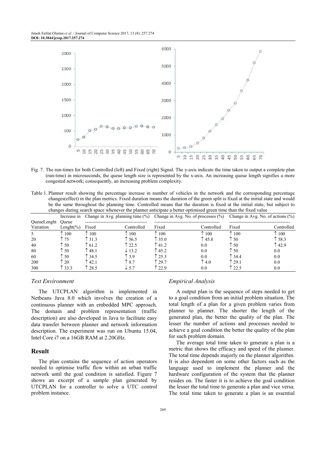Jimoh Falilat Olaitan *et al*. / Journal of Computer Science 2017, 13 (8): 257.274 **DOI: 10.3844/jcssp.2017.257.274** 



Fig. 7. The run-times for both Controlled (left) and Fixed (right) Signal. The y-axis indicate the time taken to output a complete plan (run-time) in microseconds, the queue length size is represented by the x-axis. An increasing queue length signifies a more congested network; consequently, an increasing problem complexity.

Table 1. Planner result showing the percentage increase in number of vehicles in the network and the corresponding percentage changes(effect) in the plan metrics. Fixed duration means the duration of the green split is fixed at the initial state and would be the same throughout the planning time. Controlled means that the duration is fixed at the initial state, but subject to changes during search space whenever the planner anticipate a better optimised green time than the fixed value

|                   | Increase in     | Change in Avg. planning time $(\%)$ |                   | Change in Avg. No. of processes $(\%)$ |                 | Change in Avg. No. of actions $(\% )$ |                 |
|-------------------|-----------------|-------------------------------------|-------------------|----------------------------------------|-----------------|---------------------------------------|-----------------|
| OueueLenght Oueue |                 |                                     |                   |                                        |                 |                                       |                 |
| Variation         | Lenght $(\% )$  | Fixed                               | Controlled        | Fixed                                  | Controlled      | Fixed                                 | Controlled      |
| 5                 | $\uparrow$ 100  | $\uparrow$ 100                      | ↑ 100             | $\uparrow$ 100                         | $\uparrow$ 100  | $\uparrow$ 100                        | ↑ 100           |
| 20                | ↑ 75            | $\uparrow$ 31.3                     | ↑56.5             | $\uparrow$ 35.0                        | $\uparrow$ 45.8 | $\uparrow$ 50                         | $\uparrow$ 58.3 |
| 40                | ↑50             | $\uparrow$ 61.2                     | ↑ 22.5            | $\uparrow$ 41.2                        | 0.0             | $\uparrow$ 50                         | $\uparrow$ 42.9 |
| 80                | $\uparrow$ 50   | $\uparrow$ 48.1                     | $\downarrow$ 13.2 | $\uparrow$ 45.2                        | 0.0             | $\uparrow$ 50                         | 0.0             |
| 60                | $\uparrow$ 50   | $\uparrow$ 34.5                     | $\uparrow$ 3.9    | $\uparrow$ 25.3                        | 0.0             | $\uparrow$ 34.4                       | 0.0             |
| 200               | $\uparrow$ 20   | $\uparrow$ 42.1                     | $\uparrow$ 8.7    | $\uparrow$ 29.7                        | $\uparrow$ 4.0  | $\uparrow$ 29.1                       | 0.0             |
| 300               | $\uparrow$ 33.3 | $\uparrow$ 28.5                     | $\sqrt{5.7}$      | $\uparrow$ 22.9                        | 0.0             | $\uparrow$ 22.5                       | 0.0             |

#### *Test Environment*

The UTCPLAN algorithm is implemented in Netbeans Java 8.0 which involves the creation of a continuous planner with an embedded MPC approach. The domain and problem representation (traffic description) are also developed in Java to facilitate easy data transfer between planner and network information description. The experiment was run on Ubuntu 15.04, Intel Core i7 on a 16GB RAM at 2.20GHz.

# **Result**

The plan contains the sequence of action operators needed to optimise traffic flow within an urban traffic network until the goal condition is satisfied. Figure 7 shows an excerpt of a sample plan generated by UTCPLAN for a controller to solve a UTC control problem instance.

#### *Empirical Analysis*

A output plan is the sequence of steps needed to get to a goal condition from an initial problem situation. The total length of a plan for a given problem varies from planner to planner. The shorter the length of the generated plan, the better the quality of the plan. The lesser the number of actions and processes needed to achieve a goal condition the better the quality of the plan for such problem domain.

The average total time taken to generate a plan is a metric that shows the efficacy and speed of the planner. The total time depends majorly on the planner algorithm. It is also dependent on some other factors such as the language used to implement the planner and the hardware configuration of the system that the planner resides on. The faster it is to achieve the goal condition the lesser the total time to generate a plan and vice versa. The total time taken to generate a plan is an essential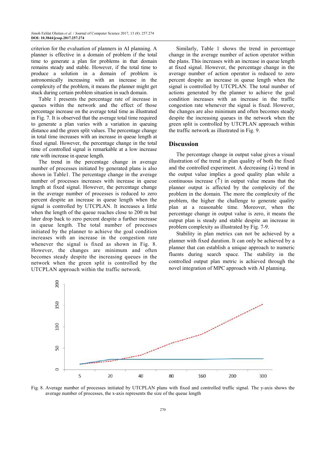criterion for the evaluation of planners in AI planning. A planner is effective in a domain of problem if the total time to generate a plan for problems in that domain remains steady and stable. However, if the total time to produce a solution in a domain of problem is astronomically increasing with an increase in the complexity of the problem, it means the planner might get stuck during certain problem situation in such domain.

Table 1 presents the percentage rate of increase in queues within the network and the effect of those percentage increase on the average total time as illustrated in Fig. 7. It is observed that the average total time required to generate a plan varies with a variation in queuing distance and the green split values. The percentage change in total time increases with an increase in queue length at fixed signal. However, the percentage change in the total time of controlled signal is remarkable at a low increase rate with increase in queue length.

The trend in the percentage change in average number of processes initiated by generated plans is also shown in Table1. The percentage change in the average number of processes increases with increase in queue length at fixed signal. However, the percentage change in the average number of processes is reduced to zero percent despite an increase in queue length when the signal is controlled by UTCPLAN. It increases a little when the length of the queue reaches close to 200 m but later drop back to zero percent despite a further increase in queue length. The total number of processes initiated by the planner to achieve the goal condition increases with an increase in the congestion rate whenever the signal is fixed as shown in Fig. 8. However, the changes are minimum and often becomes steady despite the increasing queues in the network when the green split is controlled by the UTCPLAN approach within the traffic network.

Similarly, Table 1 shows the trend in percentage change in the average number of action operator within the plans. This increases with an increase in queue length at fixed signal. However, the percentage change in the average number of action operator is reduced to zero percent despite an increase in queue length when the signal is controlled by UTCPLAN. The total number of actions generated by the planner to achieve the goal condition increases with an increase in the traffic congestion rate whenever the signal is fixed. However, the changes are also minimum and often becomes steady despite the increasing queues in the network when the green split is controlled by UTCPLAN approach within the traffic network as illustrated in Fig. 9.

#### **Discussion**

The percentage change in output value gives a visual illustration of the trend in plan quality of both the fixed and the controlled experiment. A decreasing  $(\downarrow)$  trend in the output value implies a good quality plan while a continuous increase  $(†)$  in output value means that the planner output is affected by the complexity of the problem in the domain. The more the complexity of the problem, the higher the challenge to generate quality plan at a reasonable time. Moreover, when the percentage change in output value is zero, it means the output plan is steady and stable despite an increase in problem complexity as illustrated by Fig. 7-9.

Stability in plan metrics can not be achieved by a planner with fixed duration. It can only be achieved by a planner that can establish a unique approach to numeric fluents during search space. The stability in the controlled output plan metric is achieved through the novel integration of MPC approach with AI planning.



Fig. 8. Average number of processes initiated by UTCPLAN plans with fixed and controlled traffic signal. The y-axis shows the average number of processes, the x-axis represents the size of the queue length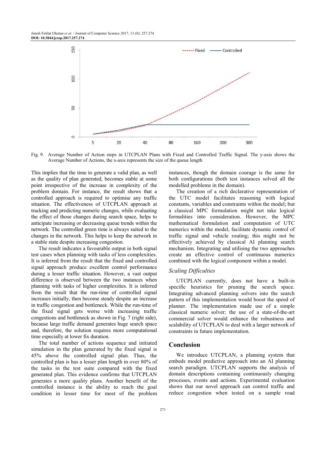Jimoh Falilat Olaitan *et al*. / Journal of Computer Science 2017, 13 (8): 257.274 **DOI: 10.3844/jcssp.2017.257.274** 



Fig. 9. Average Number of Action steps in UTCPLAN Plans with Fixed and Controlled Traffic Signal. The y-axis shows the Average Number of Actions, the x-axis represents the size of the queue length

This implies that the time to generate a valid plan, as well as the quality of plan generated, becomes stable at some point irrespective of the increase in complexity of the problem domain. For instance, the result shows that a controlled approach is required to optimise any traffic situation. The effectiveness of UTCPLAN approach at tracking and predicting numeric changes, while evaluating the effect of those changes during search space, helps to anticipate increasing or decreasing queue trends within the network. The controlled green time is always suited to the changes in the network. This helps to keep the network in a stable state despite increasing congestion.

The result indicates a favourable output in both signal test cases when planning with tasks of less complexities. It is inferred from the result that the fixed and controlled signal approach produce excellent control performance during a lesser traffic situation. However, a vast output difference is observed between the two instances when planning with tasks of higher complexities. It is inferred from the result that the run-time of controlled signal increases initially, then become steady despite an increase in traffic congestion and bottleneck. While the run-time of the fixed signal gets worse with increasing traffic congestions and bottleneck as shown in Fig. 7 (right side), because large traffic demand generates huge search space and, therefore, the solution requires more computational time especially at lower fix duration.

The total number of actions sequence and initiated simulation in the plan generated by the fixed signal is 45% above the controlled signal plan. Thus, the controlled plan is has a lesser plan length in over 80% of the tasks in the test suite compared with the fixed generated plan. This evidence confirms that UTCPLAN generates a more quality plans. Another benefit of the controlled instance is the ability to reach the goal condition in lesser time for most of the problem

instances, though the domain courage is the same for both configurations (both test instances solved all the modelled problems in the domain).

The creation of a rich declarative representation of the UTC model facilitates reasoning with logical constants, variables and constraints within the model; but a classical MPC formulation might not take logical formalities into consideration. However, the MPC mathematical formulation and computation of UTC numerics within the model, facilitate dynamic control of traffic signal and vehicle routing; this might not be effectively achieved by classical AI planning search mechanism. Integrating and utilising the two approaches create an effective control of continuous numerics combined with the logical component within a model.

#### *Scaling Difficulties*

UTCPLAN currently, does not have a built-in specific heuristics for pruning the search space. Integrating advanced planning solvers into the search pattern of this implementation would boost the speed of planner. The implementation made use of a simple classical numeric solver; the use of a state-of-the-art commercial solver would enhance the robustness and scalability of UTCPLAN to deal with a larger network of constraints in future implementation.

# **Conclusion**

We introduce UTCPLAN, a planning system that embeds model predictive approach into an AI planning search paradigm. UTCPLAN supports the analysis of domain descriptions containing continuously changing processes, events and actions. Experimental evaluation shows that our novel approach can control traffic and reduce congestion when tested on a sample road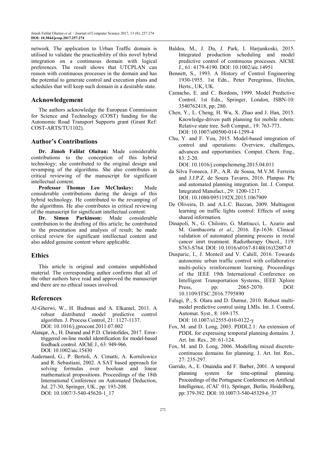network. The application to Urban Traffic domain is utilised to validate the practicability of this novel hybrid integration on a continuous domain with logical preferences. The result shows that UTCPLAN can reason with continuous processes in the domain and has the potential to generate control and execution plans and schedules that will keep such domain in a desirable state.

# **Acknowledgement**

The authors acknowledge the European Commission for Science and Technology (COST) funding for the Autonomic Road Transport Supports grant (Grant Ref: COST-ARTS/TU1102).

# **Author's Contributions**

**Dr. Jimoh Falilat Olaitan:** Made considerable contributions to the conception of this hybrid technology; she contributed to the original design and revamping of the algorithms. She also contributes in critical reviewing of the manuscript for significant intellectual content.

**Professor Thomas Leo McCluskey:** Made considerable contributions during the design of this hybrid technology. He contributed to the revamping of the algorithms. He also contributes in critical reviewing of the manuscript for significant intellectual content.

**Dr. Simon Parkinson:** Made considerable contribution to the drafting of this article; he contributed to the presentation and analysis of result; he made critical review for significant intellectual content and also added genuine content where applicable.

# **Ethics**

This article is original and contains unpublished material. The corresponding author confirms that all of the other authors have read and approved the manuscript and there are no ethical issues involved.

#### **References**

- Al-Gherwi, W., H. Budman and A. Elkamel, 2011. A robust distributed model predictive control algorithm. J. Process Control, 21: 1127-1137. DOI: 10.1016/j.jprocont.2011.07.002
- Alanqar, A., H. Durand and P.D. Christofides, 2017. Errortriggered on-line model identification for model-based feedback control. AIChE J., 63: 949-966. DOI: 10.1002/aic.15430
- Audemard, G., P. Bertoli, A. Cimatti, A. Kornilowicz and R. Sebastiani, 2002. A SAT based approach for solving formulas over boolean and linear mathematical propositions. Proceedings of the 18th International Conference on Automated Deduction, Jul. 27-30, Springer, UK., pp: 193-208. DOI: 10.1007/3-540-45620-1\_17
- Baldea, M., J. Du, J. Park, I. Harjunkoski, 2015. Integrated production scheduling and model predictive control of continuous processes. AIChE J., 61: 4179-4190. DOI: 10.1002/aic.14951
- Bennett, S., 1993. A History of Control Engineering 1930-1955. 1st Edn., Peter Peregrinus, Hitchin, Herts., UK, UK.
- Camacho, E. and C. Bordons, 1999. Model Predictive Control. 1st Edn., Springer, London, ISBN-10: 3540762418, pp; 280.
- Chen, Y., L. Cheng, H. Wu, X. Zhao and J. Han, 2015. Knowledge-driven path planning for mobile robots: Relative state tree. Soft Comput., 19: 763-773. DOI: 10.1007/s00500-014-1299-4
- Chu, Y. and F. You, 2015. Model-based integration of control and operations: Overview, challenges, advances and opportunities. Comput. Chem. Eng., 83: 2-20.

DOI: 10.1016/j.compchemeng.2015.04.011

- da Silva Fonseca, J.P., A.R. de Sousa, M.V.M. Ferreira and J.J.P.Z. de Souza Tavares, 2016. Planpas: Plc and automated planning integration. Int. J. Comput. Integrated Manufact., 29: 1200-1217. DOI: 10.1080/0951192X.2015.1067909
- De Oliveira, D. and A.L.C. Bazzan, 2009. Multiagent learning on traffic lights control: Effects of using shared information.
- Dinapoli, N., G. Chiloiro, G. Mattiucci, L. Azario and M. Gambacorta *et al*., 2016. Ep-1636: Clinical validation of automated planning process in rectal cancer imrt treatment. Radiotherapy Oncol., 119: S763-S764. DOI: 10.1016/s0167-8140(16)32887-0
- Dusparic, I., J. Monteil and V. Cahill, 2016. Towards autonomic urban traffic control with collaborative multi-policy reinforcement learning. Proceedings of the IEEE 19th International Conference on Intelligent Transportation Systems, IEEE Xplore Press, pp: 2065-2070. DOI: 10.1109/ITSC.2016.7795890
- Falugi, P., S. Olaru and D. Dumur, 2010. Robust multimodel predictive control using LMIs. Int. J. Control, Automat. Syst., 8: 169-175. DOI: 10.1007/s12555-010-0122-y
- Fox, M. and D. Long, 2003. PDDL2.1: An extension of PDDL for expressing temporal planning domains. J. Art. Int. Res., 20: 61-124.
- Fox, M. and D. Long, 2006. Modelling mixed discretecontinuous domains for planning. J. Art. Int. Res., 27: 235-297.
- Garrido, A., E. Onaindia and F. Barber, 2001. A temporal planning system for time-optimal planning. Proceedings of the Portuguese Conference on Artificial Intelligence, (CAI' 01), Springer, Berlin, Heidelberg, pp: 379-392. DOI: 10.1007/3-540-45329-6\_37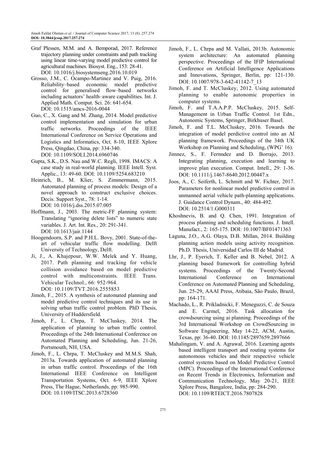- Graf Plessen, M.M. and A. Bemporad, 2017. Reference trajectory planning under constraints and path tracking using linear time-varying model predictive control for agricultural machines. Biosyst. Eng., 153: 28-41. DOI: 10.1016/j.biosystemseng.2016.10.019
- Grosso, J.M., C. Ocampo-Martinez and V. Puig, 2016. Reliability–based economic model predictive control for generalised flow–based networks including actuators' health–aware capabilities. Int. J. Applied Math. Comput. Sci. 26: 641-654. DOI: 10.1515/amcs-2016-0044
- Guo, C., X. Gang and M. Zhang, 2014. Model predictive control implementation and simulation for urban traffic networks. Proceedings of the IEEE International Conference on Service Operations and Logistics and Informatics, Oct. 8-10, IEEE Xplore Press, Qingdao, China, pp: 334-340. DOI: 10.1109/SOLI.2014.6960746
- Gupta, S.K., D.S. Nau and W.C. Regli, 1998. IMACS: A case study in real-world planning. IEEE Intell. Syst. Applic., 13: 49-60. DOI: 10.1109/5254.683210
- Heinrich, B., M. Klier, S. Zimmermann, 2015. Automated planning of process models: Design of a novel approach to construct exclusive choices. Decis. Support Syst., 78: 1-14. DOI: 10.1016/j.dss.2015.07.005
- Hoffmann, J., 2003. The metric-FF planning system: Translating "ignoring delete lists" to numeric state variables. J. Art. Int. Res., 20: 291-341. DOI: 10.1613/jair.1144
- Hoogendoorn, S.P. and P.H.L. Bovy, 2001. State-of-theart of vehicular traffic flow modelling. Delft University of Technology, Delft.
- Ji, J., A. Khajepour, W.W. Melek and Y. Huang, 2017. Path planning and tracking for vehicle collision avoidance based on model predictive control with multiconstraints. IEEE Trans. Vehicular Technol., 66: 952-964. DOI: 10.1109/TVT.2016.2555853
- Jimoh, F., 2015. A synthesis of automated planning and model predictive control techniques and its use in solving urban traffic control problem. PhD Thesis, University of Huddersfield.
- Jimoh, F., L. Chrpa, T. McCluskey, 2014. The application of planning to urban traffic control. Proceedings of the 24th International Conference on Automated Planning and Scheduling, Jun. 21-26, Portsmouth, NH, USA.
- Jimoh, F., L. Chrpa, T. McCluskey and M.M.S. Shah, 2013a. Towards application of automated planning in urban traffic control. Proceedings of the 16th International IEEE Conference on Intelligent Transportation Systems, Oct. 6-9, IEEE Xplore Press, The Hague, Netherlands, pp: 985-990. DOI: 10.1109/ITSC.2013.6728360
- Jimoh, F., L. Chrpa and M. Vallati, 2013b. Autonomic system architecture: An automated planning perspective. Proceedings of the IFIP International Conference on Artificial Intelligence Applications and Innovations, Springer, Berlin, pp: 121-130. DOI: 10.1007/978-3-642-41142-7\_13
- Jimoh, F. and T. McCluskey, 2012. Using automated planning to enable autonomic properties in computer systems.
- Jimoh, F. and T.A.A.P.P. McCluskey, 2015. Self-Management in Urban Traffic Control. 1st Edn., Autonomic Systems, Springer, Birkhuser Basel.
- Jimoh, F. and T.L. McCluskey, 2016. Towards the integration of model perdictive control into an AI planning framework. Proceedings of the 34th UK Workshop on Planning and Scheduling, (WPG' 16).
- Jimnez, S., F. Fernndez and D. Borrajo, 2013. Integrating planning, execution and learning to improve plan execution. Comput. Intell., 29: 1-36. DOI: 10.1111/j.1467-8640.2012.00447.x
- Joos, A., C. Seiferth, L. Schmitt and W. Fichter, 2017. Parameters for nonlinear model predictive control in unmanned aerial vehicle path-planning applications. J. Guidance Control Dynam., 40: 484-492. DOI: 10.2514/1.G000311
- Khoshnevis, B. and Q. Chen, 1991. Integration of process planning and scheduling functions. J. Intell. Manufact., 2: 165-175. DOI: 10.1007/BF01471363
- Laguna, J.O., A.G. Olaya, D.B. Millan, 2014. Building planning action models using activity recognition. Ph.D. Thesis, Universidad Carlos III de Madrid.
- Lhr, J., P. Eyerich, T. Keller and B. Nebel, 2012. A planning based framework for controlling hybrid systems. Proceedings of the Twenty-Second International Conference on International Conference on Automated Planning and Scheduling, Jun. 25-29, AAAI Press, Atibaia, São Paulo, Brazil, pp: 164-171.
- Machado, L., R. Prikladnicki, F. Meneguzzi, C. de Souza and E. Carmel, 2016. Task allocation for crowdsourcing using ai planning. Proceedings of the 3rd International Workshop on CrowdSourcing in Software Engineering, May 14-22, ACM, Austin, Texas, pp: 36-40. DOI: 10.1145/2897659.2897666
- Mahalingam, V. and A. Agrawal, 2016. Learning agents based intelligent transport and routing systems for autonomous vehicles and their respective vehicle control systems based on Model Predictive Control (MPC). Proceedings of the International Conference on Recent Trends in Electronics, Information and Communication Technology, May 20-21, IEEE Xplore Press, Bangalore, India, pp: 284-290. DOI: 10.1109/RTEICT.2016.7807828